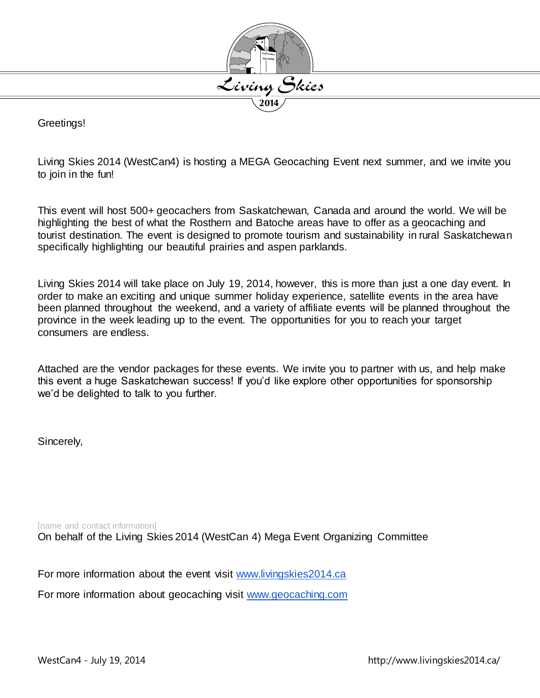

Greetings!

Living Skies 2014 (WestCan4) is hosting a MEGA Geocaching Event next summer, and we invite you to join in the fun!

This event will host 500+ geocachers from Saskatchewan, Canada and around the world. We will be highlighting the best of what the Rosthern and Batoche areas have to offer as a geocaching and tourist destination. The event is designed to promote tourism and sustainability in rural Saskatchewan specifically highlighting our beautiful prairies and aspen parklands.

Living Skies 2014 will take place on July 19, 2014, however, this is more than just a one day event. In order to make an exciting and unique summer holiday experience, satellite events in the area have been planned throughout the weekend, and a variety of affiliate events will be planned throughout the province in the week leading up to the event. The opportunities for you to reach your target consumers are endless.

Attached are the vendor packages for these events. We invite you to partner with us, and help make this event a huge Saskatchewan success! If you'd like explore other opportunities for sponsorship we'd be delighted to talk to you further.

Sincerely,

[name and contact information] On behalf of the Living Skies 2014 (WestCan 4) Mega Event Organizing Committee

For more information about the event visit [www.livingskies2014.ca](http://www.livingskies2014.ca/)

For more information about geocaching visit [www.geocaching.com](http://www.geocaching.com/)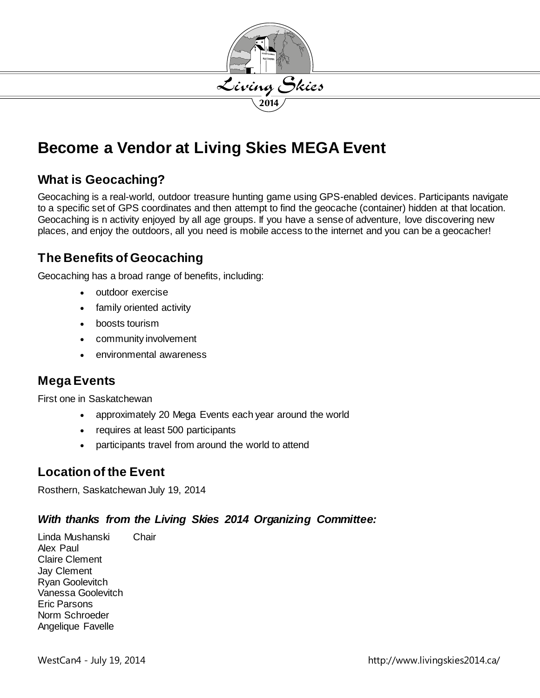

# **Become a Vendor at Living Skies MEGA Event**

### **What is Geocaching?**

Geocaching is a real-world, outdoor treasure hunting game using GPS-enabled devices. Participants navigate to a specific set of GPS coordinates and then attempt to find the geocache (container) hidden at that location. Geocaching is n activity enjoyed by all age groups. If you have a sense of adventure, love discovering new places, and enjoy the outdoors, all you need is mobile access to the internet and you can be a geocacher!

### **The Benefits of Geocaching**

Geocaching has a broad range of benefits, including:

- outdoor exercise
- family oriented activity
- boosts tourism
- community involvement
- environmental awareness

### **Mega Events**

First one in Saskatchewan

- approximately 20 Mega Events each year around the world
- requires at least 500 participants
- participants travel from around the world to attend

### **Location of the Event**

Rosthern, Saskatchewan July 19, 2014

#### *With thanks from the Living Skies 2014 Organizing Committee:*

Linda Mushanski Chair Alex Paul Claire Clement Jay Clement Ryan Goolevitch Vanessa Goolevitch Eric Parsons Norm Schroeder Angelique Favelle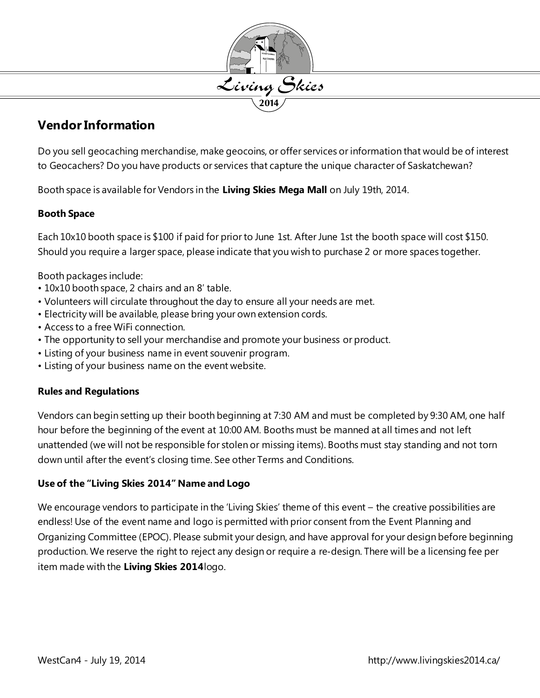

### **Vendor Information**

Do you sell geocaching merchandise, make geocoins, or offer services or information that would be of interest to Geocachers? Do you have products or services that capture the unique character of Saskatchewan?

Booth space is available for Vendors in the **Living Skies Mega Mall** on July 19th, 2014.

#### **Booth Space**

Each 10x10 booth space is \$100 if paid for prior to June 1st. After June 1st the booth space will cost \$150. Should you require a larger space, please indicate that you wish to purchase 2 or more spaces together.

Booth packages include:

- 10x10 booth space, 2 chairs and an 8' table.
- Volunteers will circulate throughout the day to ensure all your needs are met.
- Electricity will be available, please bring your own extension cords.
- Access to a free WiFi connection.
- The opportunity to sell your merchandise and promote your business or product.
- Listing of your business name in event souvenir program.
- Listing of your business name on the event website.

#### **Rules and Regulations**

Vendors can begin setting up their booth beginning at 7:30 AM and must be completed by 9:30 AM, one half hour before the beginning of the event at 10:00 AM. Booths must be manned at all times and not left unattended (we will not be responsible for stolen or missing items). Booths must stay standing and not torn down until after the event's closing time. See other Terms and Conditions.

#### **Use of the "Living Skies 2014" Name and Logo**

We encourage vendors to participate in the 'Living Skies' theme of this event – the creative possibilities are endless! Use of the event name and logo is permitted with prior consent from the Event Planning and Organizing Committee (EPOC). Please submit your design, and have approval for your design before beginning production. We reserve the right to reject any design or require a re‐design. There will be a licensing fee per item made with the **Living Skies 2014**logo.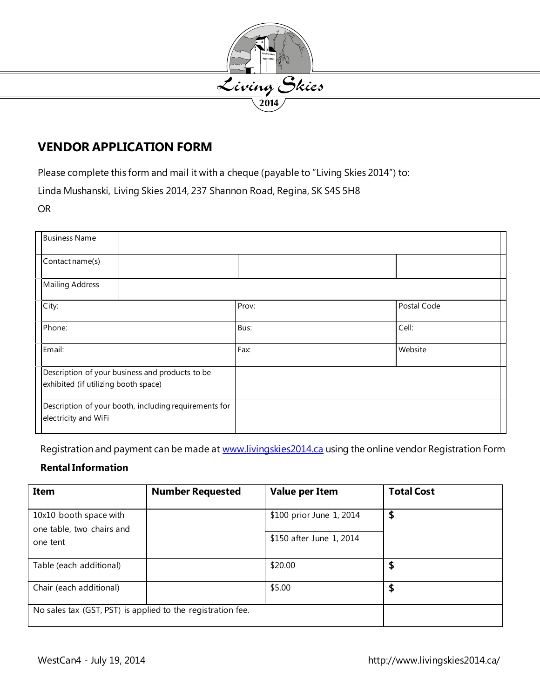

### **VENDOR APPLICATION FORM**

Please complete this form and mail it with a cheque (payable to "Living Skies 2014") to:

Linda Mushanski, Living Skies 2014, 237 Shannon Road, Regina, SK S4S 5H8

OR

|                                                       | <b>Business Name</b>                            |  |       |             |
|-------------------------------------------------------|-------------------------------------------------|--|-------|-------------|
|                                                       |                                                 |  |       |             |
|                                                       |                                                 |  |       |             |
|                                                       | Contact name(s)                                 |  |       |             |
|                                                       |                                                 |  |       |             |
|                                                       | <b>Mailing Address</b>                          |  |       |             |
|                                                       |                                                 |  |       |             |
|                                                       | City:                                           |  | Prov: | Postal Code |
|                                                       |                                                 |  |       |             |
|                                                       |                                                 |  |       |             |
|                                                       | Phone:                                          |  | Bus:  | Cell:       |
|                                                       |                                                 |  |       |             |
|                                                       | Email:                                          |  | Fax:  | Website     |
|                                                       |                                                 |  |       |             |
|                                                       | Description of your business and products to be |  |       |             |
|                                                       | exhibited (if utilizing booth space)            |  |       |             |
|                                                       |                                                 |  |       |             |
|                                                       |                                                 |  |       |             |
| Description of your booth, including requirements for |                                                 |  |       |             |
| electricity and WiFi                                  |                                                 |  |       |             |
|                                                       |                                                 |  |       |             |
|                                                       |                                                 |  |       |             |

Registration and payment can be made a[t www.livingskies2014.ca](http://www.livingskies2014.ca/) using the online vendor Registration Form

#### **Rental Information**

| Item                                                            | <b>Number Requested</b> | <b>Value per Item</b>                                | <b>Total Cost</b> |
|-----------------------------------------------------------------|-------------------------|------------------------------------------------------|-------------------|
| 10x10 booth space with<br>one table, two chairs and<br>one tent |                         | \$100 prior June 1, 2014<br>\$150 after June 1, 2014 | \$                |
| Table (each additional)                                         |                         | \$20.00                                              | \$                |
| Chair (each additional)                                         |                         | \$5.00                                               | \$                |
| No sales tax (GST, PST) is applied to the registration fee.     |                         |                                                      |                   |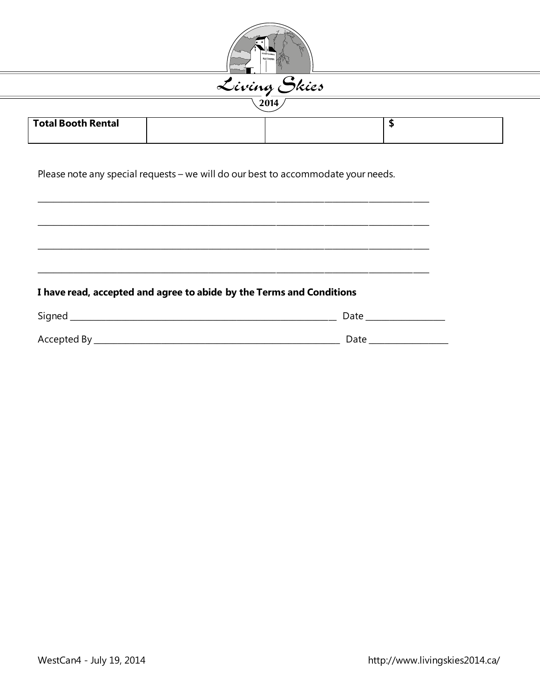| <u>Living Skies</u><br>2014 |  |    |  |  |
|-----------------------------|--|----|--|--|
| <b>Total Booth Rental</b>   |  | \$ |  |  |

#### I have read, accepted and agree to abide by the Terms and Conditions

| Signed      | Date |
|-------------|------|
| Accepted By | Date |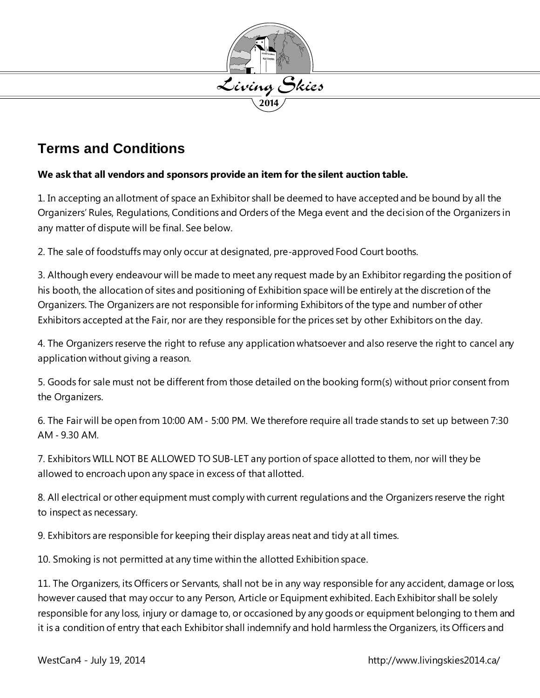

## **Terms and Conditions**

#### **We ask that all vendors and sponsors provide an item for the silent auction table.**

1. In accepting an allotment of space an Exhibitor shall be deemed to have accepted and be bound by all the Organizers' Rules, Regulations, Conditions and Orders of the Mega event and the deci sion of the Organizers in any matter of dispute will be final. See below.

2. The sale of foodstuffs may only occur at designated, pre‐approved Food Court booths.

3. Although every endeavour will be made to meet any request made by an Exhibitor regarding the position of his booth, the allocation of sites and positioning of Exhibition space will be entirely at the discretion of the Organizers. The Organizers are not responsible for informing Exhibitors of the type and number of other Exhibitors accepted at the Fair, nor are they responsible for the prices set by other Exhibitors on the day.

4. The Organizers reserve the right to refuse any application whatsoever and also reserve the right to cancel any application without giving a reason.

5. Goods for sale must not be different from those detailed on the booking form(s) without prior consent from the Organizers.

6. The Fair will be open from 10:00 AM ‐ 5:00 PM. We therefore require all trade stands to set up between 7:30 AM ‐ 9.30 AM.

7. Exhibitors WILL NOT BE ALLOWED TO SUB‐LET any portion of space allotted to them, nor will they be allowed to encroach upon any space in excess of that allotted.

8. All electrical or other equipment must comply with current regulations and the Organizers reserve the right to inspect as necessary.

9. Exhibitors are responsible for keeping their display areas neat and tidy at all times.

10. Smoking is not permitted at any time within the allotted Exhibition space.

11. The Organizers, its Officers or Servants, shall not be in any way responsible for any accident, damage or loss, however caused that may occur to any Person, Article or Equipment exhibited. Each Exhibitor shall be solely responsible for any loss, injury or damage to, or occasioned by any goods or equipment belonging to them and it is a condition of entry that each Exhibitor shall indemnify and hold harmless the Organizers, its Officers and